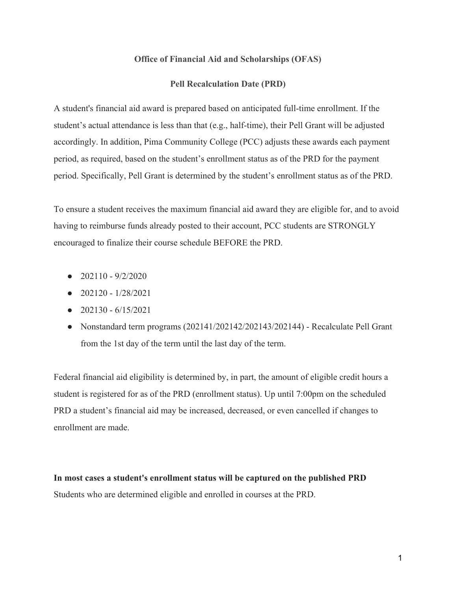## **Office of Financial Aid and Scholarships (OFAS)**

## **Pell Recalculation Date (PRD)**

A student's financial aid award is prepared based on anticipated full-time enrollment. If the student's actual attendance is less than that (e.g., half-time), their Pell Grant will be adjusted accordingly. In addition, Pima Community College (PCC) adjusts these awards each payment period, as required, based on the student's enrollment status as of the PRD for the payment period. Specifically, Pell Grant is determined by the student's enrollment status as of the PRD.

To ensure a student receives the maximum financial aid award they are eligible for, and to avoid having to reimburse funds already posted to their account, PCC students are STRONGLY encouraged to finalize their course schedule BEFORE the PRD.

- $\bullet$  202110 9/2/2020
- $\bullet$  202120 1/28/2021
- $\bullet$  202130 6/15/2021
- Nonstandard term programs (202141/202142/202143/202144) Recalculate Pell Grant from the 1st day of the term until the last day of the term.

Federal financial aid eligibility is determined by, in part, the amount of eligible credit hours a student is registered for as of the PRD (enrollment status). Up until 7:00pm on the scheduled PRD a student's financial aid may be increased, decreased, or even cancelled if changes to enrollment are made.

**In most cases a student's enrollment status will be captured on the published PRD** Students who are determined eligible and enrolled in courses at the PRD.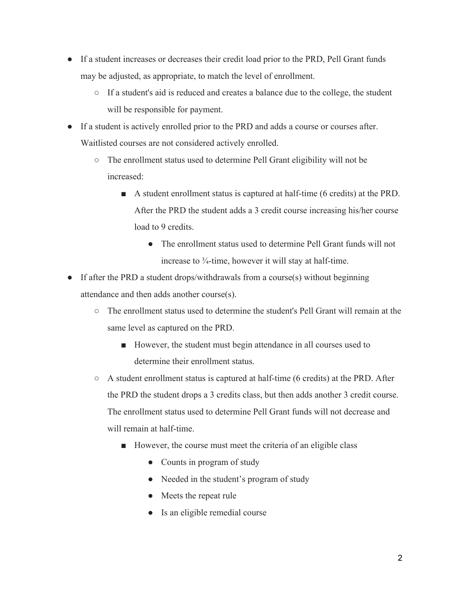- If a student increases or decreases their credit load prior to the PRD, Pell Grant funds may be adjusted, as appropriate, to match the level of enrollment.
	- If a student's aid is reduced and creates a balance due to the college, the student will be responsible for payment.
- If a student is actively enrolled prior to the PRD and adds a course or courses after. Waitlisted courses are not considered actively enrolled.
	- The enrollment status used to determine Pell Grant eligibility will not be increased:
		- A student enrollment status is captured at half-time (6 credits) at the PRD. After the PRD the student adds a 3 credit course increasing his/her course load to 9 credits.
			- The enrollment status used to determine Pell Grant funds will not increase to ¾-time, however it will stay at half-time.
- If after the PRD a student drops/withdrawals from a course(s) without beginning attendance and then adds another course(s).
	- The enrollment status used to determine the student's Pell Grant will remain at the same level as captured on the PRD.
		- However, the student must begin attendance in all courses used to determine their enrollment status.
	- $\circ$  A student enrollment status is captured at half-time (6 credits) at the PRD. After the PRD the student drops a 3 credits class, but then adds another 3 credit course. The enrollment status used to determine Pell Grant funds will not decrease and will remain at half-time.
		- However, the course must meet the criteria of an eligible class
			- Counts in program of study
			- Needed in the student's program of study
			- Meets the repeat rule
			- Is an eligible remedial course